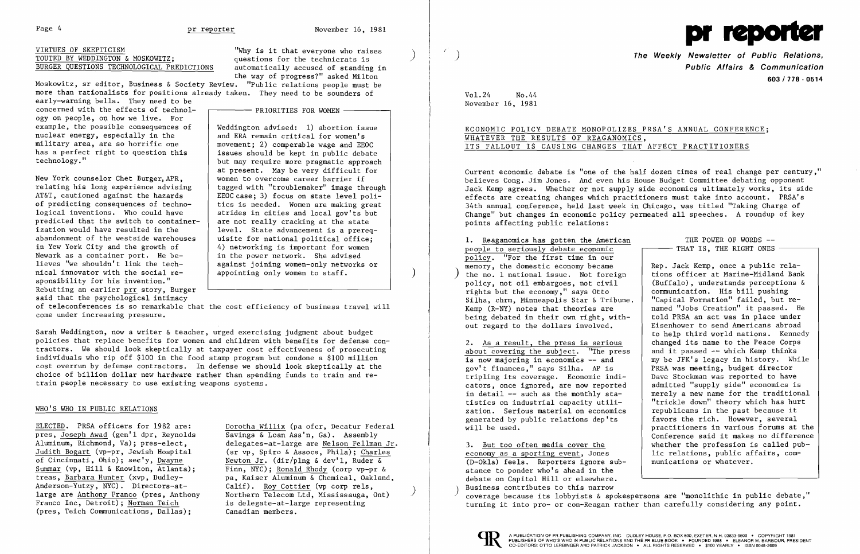# VIRTUES OF SKEPTICISM<br>
TOUTED BY WEDDINGTON & MOSKOWITZ;<br>
questions for the technicrats is TOUTED BY WEDDINGTON & MOSKOWITZ; Why is it that everyone who raises ( ) ( ) ( ) The Weekly Newsletter of Public Relations,  $\overline{100\text{TED BY}}$  ( ) The Weekly Newsletter of Public Relations, BURGER QUESTIONS TECHNOLOGICAL PREDICTIONS automatically accused of standing in



Moskowitz, sr editor, Business & Society Review. "Public relations people must be more than rationalists for positions already taken. They need to be sounders of

the way of progress?" asked Milton

 $-$  PRIORITIES FOR WOMEN  $-$ 

early-warning bells. They need to be concerned with the effects of technology on people, on how we live. For example, the possible consequences of nuclear energy, especially in the military area, are so horrific one has a perfect right to question this technology."

New York counselor Chet Burger,APR, relating his long experience advising AT&T, cautioned against the hazards of predicting consequences of technological inventions. Who could have predicted that the switch to containerization would have resulted in the abandonment of the westside warehouses in Yew York City and the growth of Newark as a container port. He believes "we shouldn't link the technical innovator with the social responsibility for his invention." Rebutting an earlier prr story, Burger said that the psychological intimacy

of teleconferences is so remarkable that the cost efficiency of business travel will come under increasing pressure.

Weddington advised: 1) abortion issue and ERA remain critical for women's movement; 2) comperable wage and EEOC issues should be kept in public debate but may require more pragmatic approach at present. May be very difficult for women to overcome career barrier if tagged with "troublemaker" image through EEOC case; 3) focus on state level politics is needed. Women are making great strides in cities and local gov'ts but are not really cracking at the state level. State advancement is a prerequisite for national political office; 4) networking is important for women in the power network. She advised against joining women-only networks or appointing only women to staff.

# ECONOMIC POLICY DEBATE MONOPOLIZES PRSA'S ANNUAL CONFERENCE; WHATEVER THE RESULTS OF REAGANOMICS, ITS FALLOUT IS CAUSING CHANGES THAT AFFECT PRACTITIONERS

Sarah Weddington, now a writer & teacher, urged exercising judgment about budget policies that replace benefits for women and children with benefits for defense contractors. We should look skeptically at taxpayer cost effectiveness of prosecuting individuals who rip off \$100 in the food stamp program but condone a \$100 million cost overrun by defense contractors. In defense we should look skeptically at the choice of billion dollar new hardware rather than spending funds to train and retrain people necessary to use existing weapons systems.

### WHO'S WHO IN PUBLIC RELATIONS

#### THE POWER OF WORDS **-** - THAT IS, THE RIGHT ONES -

ELECTED. PRSA officers for 1982 are: pres, Joseph Awad (gen'l dpr, Reynolds Aluminum, Richmond, Va); pres-elect, Judith Bogart (vp-pr, Jewish Hospital of Cincinnati, Ohio); see'y, Dwayne Summar (vp, Hill & Knowlton, Atlanta); treas, Barbara Hunter (xvp, Dudley-Anderson-Yutzy, NYC). Directors-atlarge are Anthony Franco (pres, Anthony Franco Inc, Detroit); Norman Teich (pres, Teich Communications, Dallas);

Dorotha Willix (pa ofcr, Decatur Federal Savings & Loan Ass'n, Ga). Assembly delegates-at-large are Nelson Fellman Jr. (sr vp, Spiro & Assocs, Phila); Charles Newton Jr. (dir/plng & dev'l, Ruder & Finn, NYC); Ronald Rhody (corp vp-pr & pa, Kaiser Aluminum & Chemical, Oakland, Calif). <u>Roy Cottier</u> (vp corp rels,<br>Northern Telecom Ltd, Mississauga, Ont) is delegate-at-large representing Canadian members.

**Public Affairs & Communication 603/778 - 0514** 

Vol.24 November 16, 1981 No.44

Current economic debate is "one of the half dozen times of real change per century," believes Cong. Jim Jones. And even his House Budget Committee debating opponent Jack Kemp agrees. Whether or not supply side economics ultimately works, its side effects are creating changes which practitioners must take into account. PRSA's 34th annual conference, held last week in Chicago, was titled "Taking Charge of Change" but changes in economic policy permeated all speeches. A roundup of key points affecting public relations:

**1.** Reaganomics has gotten the American people to seriously debate economic policy. "For the first time in our memory, the domes tic economy became the no.  $1$  national issue. Not foreign policy, not oil embargoes, not civil rights but the economy," says Otto Silha, chrm, Minneapolis Star & Tribune. Kemp (R-NY) notes that theories are being debated in their own right, without regard to the dollars involved.

2. As a result, the press is serious about covering the subject. "The press is now majoring in economics **--** and gov't finances," says Silha. AP is tripling its coverage. Economic indicators, once ignored, are now reported in detail **--** such as the monthly statistics on industrial capacity utilization. Serious material on economics generated by public relations dep'ts will be used.

3. But too often media cover the economy as a sporting event, Jones (D-Okla) feels. Reporters ignore substance to ponder who's ahead in the debate on Capitol Hill or elsewhere. Business contributes to this narrow coverage because its lobbyists & spokespersons are "monolithic in public debate," turning it into pro- or con-Reagan rather than carefully considering any point. lic relations, public affairs, communications or whatever.



 $\big)$ 

Rep. Jack Kemp, once a public relations officer at Marine-Midland Bank (Buffalo), understands perceptions & communication. His bill pushing "Capital Formation" failed, but renamed "Jobs Creation" it passed. He told PRSA an act was in place under Eisenhower to send Americans abroad to help third world nations. Kennedy changed its name to the Peace Corps and it passed -- which Kemp thinks my be JFK's legacy in history. While PRSA was meeting, budget director Dave Stockman was reported to have admitted "supply side" economics is merely a new name for the traditional "trickle down" theory which has hurt republicans in the past because it favors the rich. However, several practitioners in various forums at the Conference said it makes no difference whether the profession is called pub